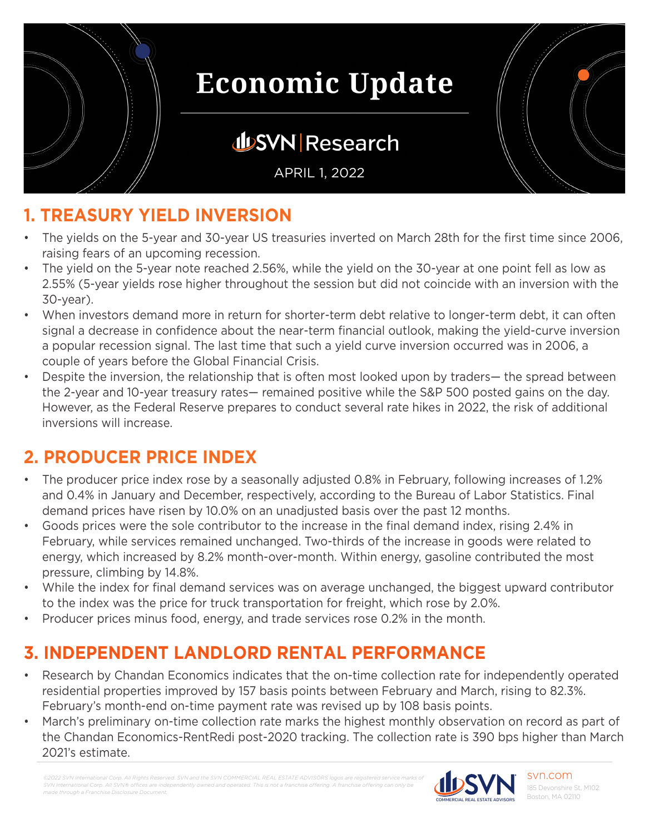

## **JUSVN Research**

APRIL 1, 2022

## **1. TREASURY YIELD INVERSION**

- The yields on the 5-year and 30-year US treasuries inverted on March 28th for the first time since 2006, raising fears of an upcoming recession.
- The yield on the 5-year note reached 2.56%, while the yield on the 30-year at one point fell as low as 2.55% (5-year yields rose higher throughout the session but did not coincide with an inversion with the 30-year).
- When investors demand more in return for shorter-term debt relative to longer-term debt, it can often signal a decrease in confidence about the near-term financial outlook, making the yield-curve inversion a popular recession signal. The last time that such a yield curve inversion occurred was in 2006, a couple of years before the Global Financial Crisis.
- Despite the inversion, the relationship that is often most looked upon by traders— the spread between the 2-year and 10-year treasury rates— remained positive while the S&P 500 posted gains on the day. However, as the Federal Reserve prepares to conduct several rate hikes in 2022, the risk of additional inversions will increase.

## **2. PRODUCER PRICE INDEX**

- The producer price index rose by a seasonally adjusted 0.8% in February, following increases of 1.2% and 0.4% in January and December, respectively, according to the Bureau of Labor Statistics. Final demand prices have risen by 10.0% on an unadjusted basis over the past 12 months.
- Goods prices were the sole contributor to the increase in the final demand index, rising 2.4% in February, while services remained unchanged. Two-thirds of the increase in goods were related to energy, which increased by 8.2% month-over-month. Within energy, gasoline contributed the most pressure, climbing by 14.8%.
- While the index for final demand services was on average unchanged, the biggest upward contributor to the index was the price for truck transportation for freight, which rose by 2.0%.
- Producer prices minus food, energy, and trade services rose 0.2% in the month.

### **3. INDEPENDENT LANDLORD RENTAL PERFORMANCE**

- Research by Chandan Economics indicates that the on-time collection rate for independently operated residential properties improved by 157 basis points between February and March, rising to 82.3%. February's month-end on-time payment rate was revised up by 108 basis points.
- March's preliminary on-time collection rate marks the highest monthly observation on record as part of the Chandan Economics-RentRedi post-2020 tracking. The collection rate is 390 bps higher than March 2021's estimate.

*©2022 SVN International Corp. All Rights Reserved. SVN and the SVN COMMERCIAL REAL ESTATE ADVISORS logos are registered service marks of SVN International Corp. All SVN® offices are independently owned and operated. This is not a franchise offering. A franchise offering can only be made through a Franchise Disclosure Document.*



svn.com 185 Devonshire St, M102 Boston, MA 02110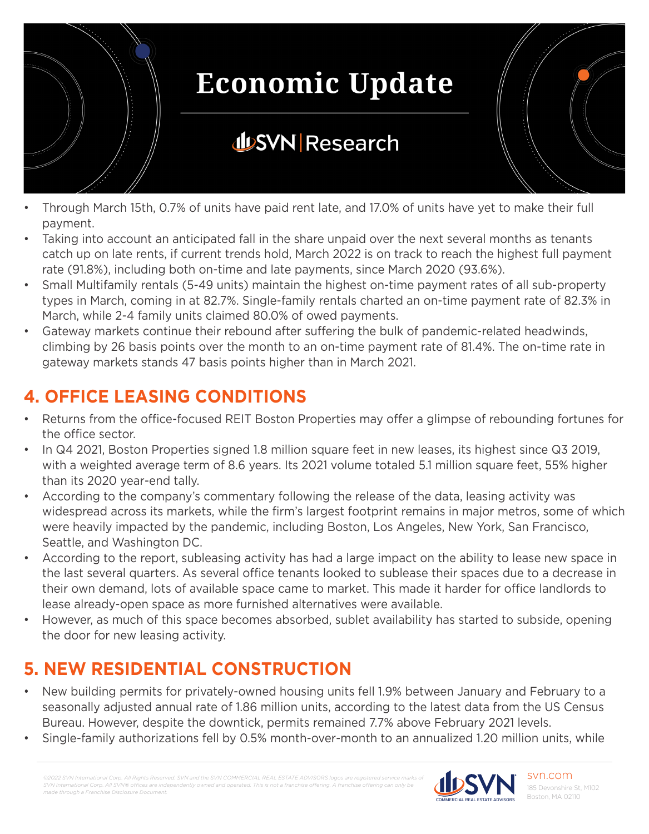

- Through March 15th, 0.7% of units have paid rent late, and 17.0% of units have yet to make their full payment.
- Taking into account an anticipated fall in the share unpaid over the next several months as tenants catch up on late rents, if current trends hold, March 2022 is on track to reach the highest full payment rate (91.8%), including both on-time and late payments, since March 2020 (93.6%).
- Small Multifamily rentals (5-49 units) maintain the highest on-time payment rates of all sub-property types in March, coming in at 82.7%. Single-family rentals charted an on-time payment rate of 82.3% in March, while 2-4 family units claimed 80.0% of owed payments.
- Gateway markets continue their rebound after suffering the bulk of pandemic-related headwinds, climbing by 26 basis points over the month to an on-time payment rate of 81.4%. The on-time rate in gateway markets stands 47 basis points higher than in March 2021.

### **4. OFFICE LEASING CONDITIONS**

- Returns from the office-focused REIT Boston Properties may offer a glimpse of rebounding fortunes for the office sector.
- In Q4 2021, Boston Properties signed 1.8 million square feet in new leases, its highest since Q3 2019, with a weighted average term of 8.6 years. Its 2021 volume totaled 5.1 million square feet, 55% higher than its 2020 year-end tally.
- According to the company's commentary following the release of the data, leasing activity was widespread across its markets, while the firm's largest footprint remains in major metros, some of which were heavily impacted by the pandemic, including Boston, Los Angeles, New York, San Francisco, Seattle, and Washington DC.
- According to the report, subleasing activity has had a large impact on the ability to lease new space in the last several quarters. As several office tenants looked to sublease their spaces due to a decrease in their own demand, lots of available space came to market. This made it harder for office landlords to lease already-open space as more furnished alternatives were available.
- However, as much of this space becomes absorbed, sublet availability has started to subside, opening the door for new leasing activity.

## **5. NEW RESIDENTIAL CONSTRUCTION**

- New building permits for privately-owned housing units fell 1.9% between January and February to a seasonally adjusted annual rate of 1.86 million units, according to the latest data from the US Census Bureau. However, despite the downtick, permits remained 7.7% above February 2021 levels.
- Single-family authorizations fell by 0.5% month-over-month to an annualized 1.20 million units, while

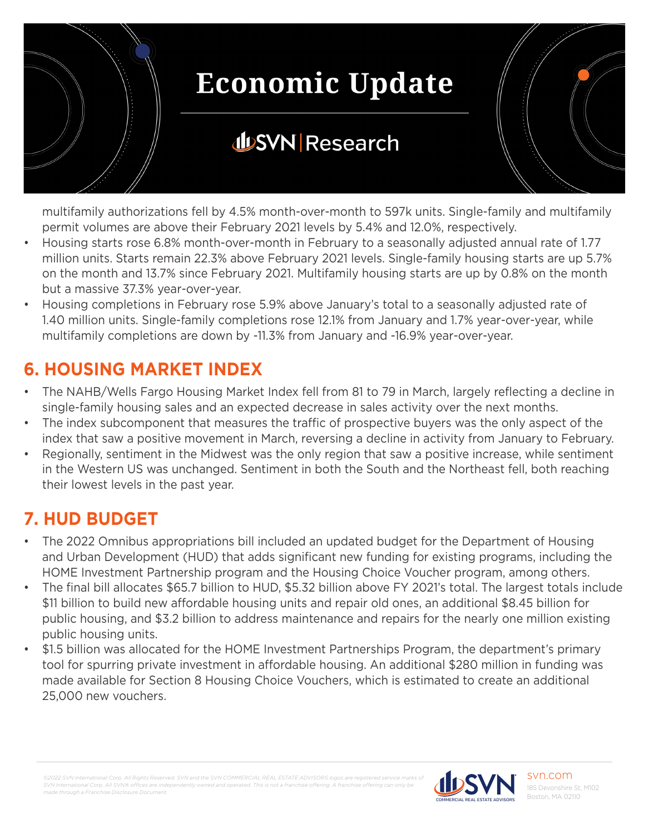

multifamily authorizations fell by 4.5% month-over-month to 597k units. Single-family and multifamily permit volumes are above their February 2021 levels by 5.4% and 12.0%, respectively.

- Housing starts rose 6.8% month-over-month in February to a seasonally adjusted annual rate of 1.77 million units. Starts remain 22.3% above February 2021 levels. Single-family housing starts are up 5.7% on the month and 13.7% since February 2021. Multifamily housing starts are up by 0.8% on the month but a massive 37.3% year-over-year.
- Housing completions in February rose 5.9% above January's total to a seasonally adjusted rate of 1.40 million units. Single-family completions rose 12.1% from January and 1.7% year-over-year, while multifamily completions are down by -11.3% from January and -16.9% year-over-year.

### **6. HOUSING MARKET INDEX**

- The NAHB/Wells Fargo Housing Market Index fell from 81 to 79 in March, largely reflecting a decline in single-family housing sales and an expected decrease in sales activity over the next months.
- The index subcomponent that measures the traffic of prospective buyers was the only aspect of the index that saw a positive movement in March, reversing a decline in activity from January to February.
- Regionally, sentiment in the Midwest was the only region that saw a positive increase, while sentiment in the Western US was unchanged. Sentiment in both the South and the Northeast fell, both reaching their lowest levels in the past year.

### **7. HUD BUDGET**

- The 2022 Omnibus appropriations bill included an updated budget for the Department of Housing and Urban Development (HUD) that adds significant new funding for existing programs, including the HOME Investment Partnership program and the Housing Choice Voucher program, among others.
- The final bill allocates \$65.7 billion to HUD, \$5.32 billion above FY 2021's total. The largest totals include \$11 billion to build new affordable housing units and repair old ones, an additional \$8.45 billion for public housing, and \$3.2 billion to address maintenance and repairs for the nearly one million existing public housing units.
- \$1.5 billion was allocated for the HOME Investment Partnerships Program, the department's primary tool for spurring private investment in affordable housing. An additional \$280 million in funding was made available for Section 8 Housing Choice Vouchers, which is estimated to create an additional 25,000 new vouchers.

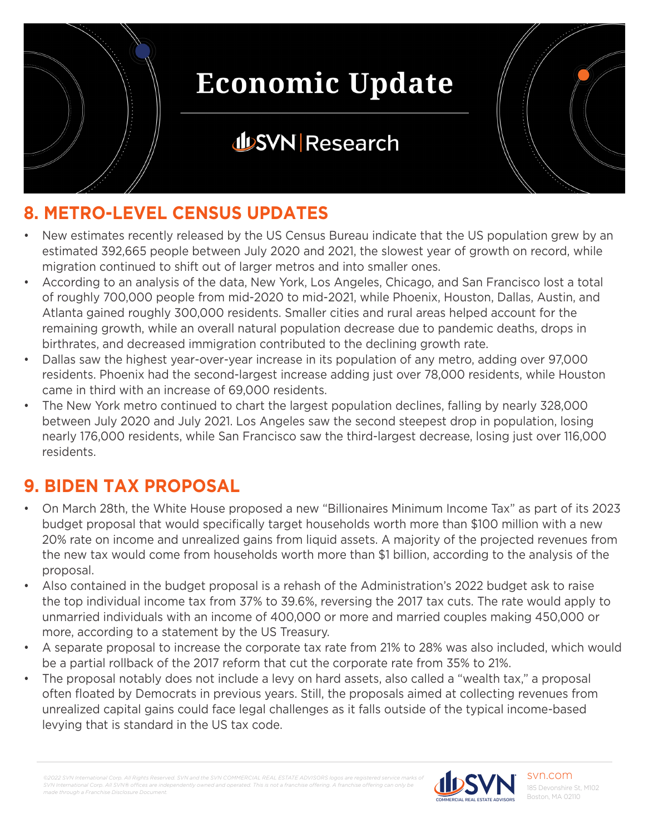

## **JUSVN Research**



## **8. METRO-LEVEL CENSUS UPDATES**

- New estimates recently released by the US Census Bureau indicate that the US population grew by an estimated 392,665 people between July 2020 and 2021, the slowest year of growth on record, while migration continued to shift out of larger metros and into smaller ones.
- According to an analysis of the data, New York, Los Angeles, Chicago, and San Francisco lost a total of roughly 700,000 people from mid-2020 to mid-2021, while Phoenix, Houston, Dallas, Austin, and Atlanta gained roughly 300,000 residents. Smaller cities and rural areas helped account for the remaining growth, while an overall natural population decrease due to pandemic deaths, drops in birthrates, and decreased immigration contributed to the declining growth rate.
- Dallas saw the highest year-over-year increase in its population of any metro, adding over 97,000 residents. Phoenix had the second-largest increase adding just over 78,000 residents, while Houston came in third with an increase of 69,000 residents.
- The New York metro continued to chart the largest population declines, falling by nearly 328,000 between July 2020 and July 2021. Los Angeles saw the second steepest drop in population, losing nearly 176,000 residents, while San Francisco saw the third-largest decrease, losing just over 116,000 residents.

## **9. BIDEN TAX PROPOSAL**

- On March 28th, the White House proposed a new "Billionaires Minimum Income Tax" as part of its 2023 budget proposal that would specifically target households worth more than \$100 million with a new 20% rate on income and unrealized gains from liquid assets. A majority of the projected revenues from the new tax would come from households worth more than \$1 billion, according to the analysis of the proposal.
- Also contained in the budget proposal is a rehash of the Administration's 2022 budget ask to raise the top individual income tax from 37% to 39.6%, reversing the 2017 tax cuts. The rate would apply to unmarried individuals with an income of 400,000 or more and married couples making 450,000 or more, according to a statement by the US Treasury.
- A separate proposal to increase the corporate tax rate from 21% to 28% was also included, which would be a partial rollback of the 2017 reform that cut the corporate rate from 35% to 21%.
- The proposal notably does not include a levy on hard assets, also called a "wealth tax," a proposal often floated by Democrats in previous years. Still, the proposals aimed at collecting revenues from unrealized capital gains could face legal challenges as it falls outside of the typical income-based levying that is standard in the US tax code.

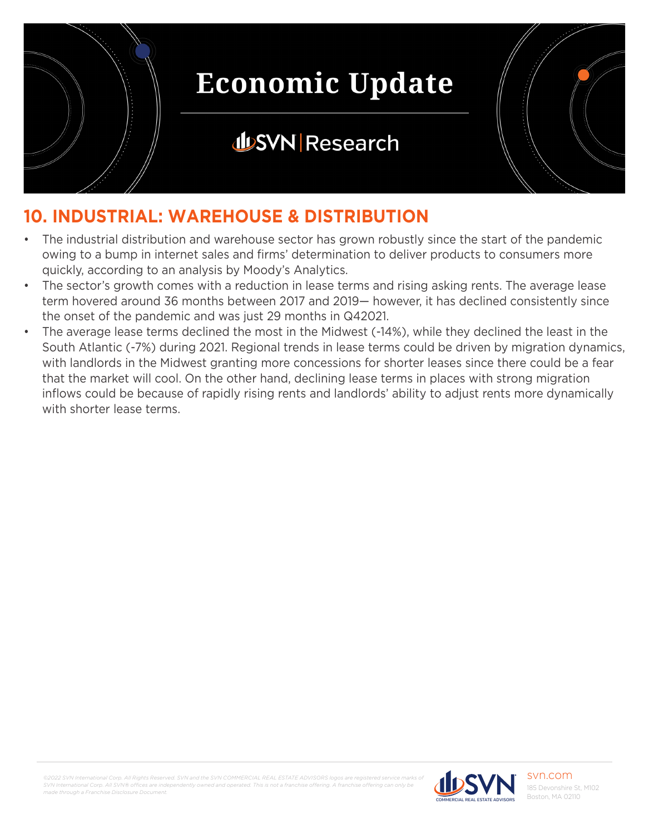

## **JUSVN Research**



## **10. INDUSTRIAL: WAREHOUSE & DISTRIBUTION**

- The industrial distribution and warehouse sector has grown robustly since the start of the pandemic owing to a bump in internet sales and firms' determination to deliver products to consumers more quickly, according to an analysis by Moody's Analytics.
- The sector's growth comes with a reduction in lease terms and rising asking rents. The average lease term hovered around 36 months between 2017 and 2019— however, it has declined consistently since the onset of the pandemic and was just 29 months in Q42021.
- The average lease terms declined the most in the Midwest (-14%), while they declined the least in the South Atlantic (-7%) during 2021. Regional trends in lease terms could be driven by migration dynamics, with landlords in the Midwest granting more concessions for shorter leases since there could be a fear that the market will cool. On the other hand, declining lease terms in places with strong migration inflows could be because of rapidly rising rents and landlords' ability to adjust rents more dynamically with shorter lease terms.